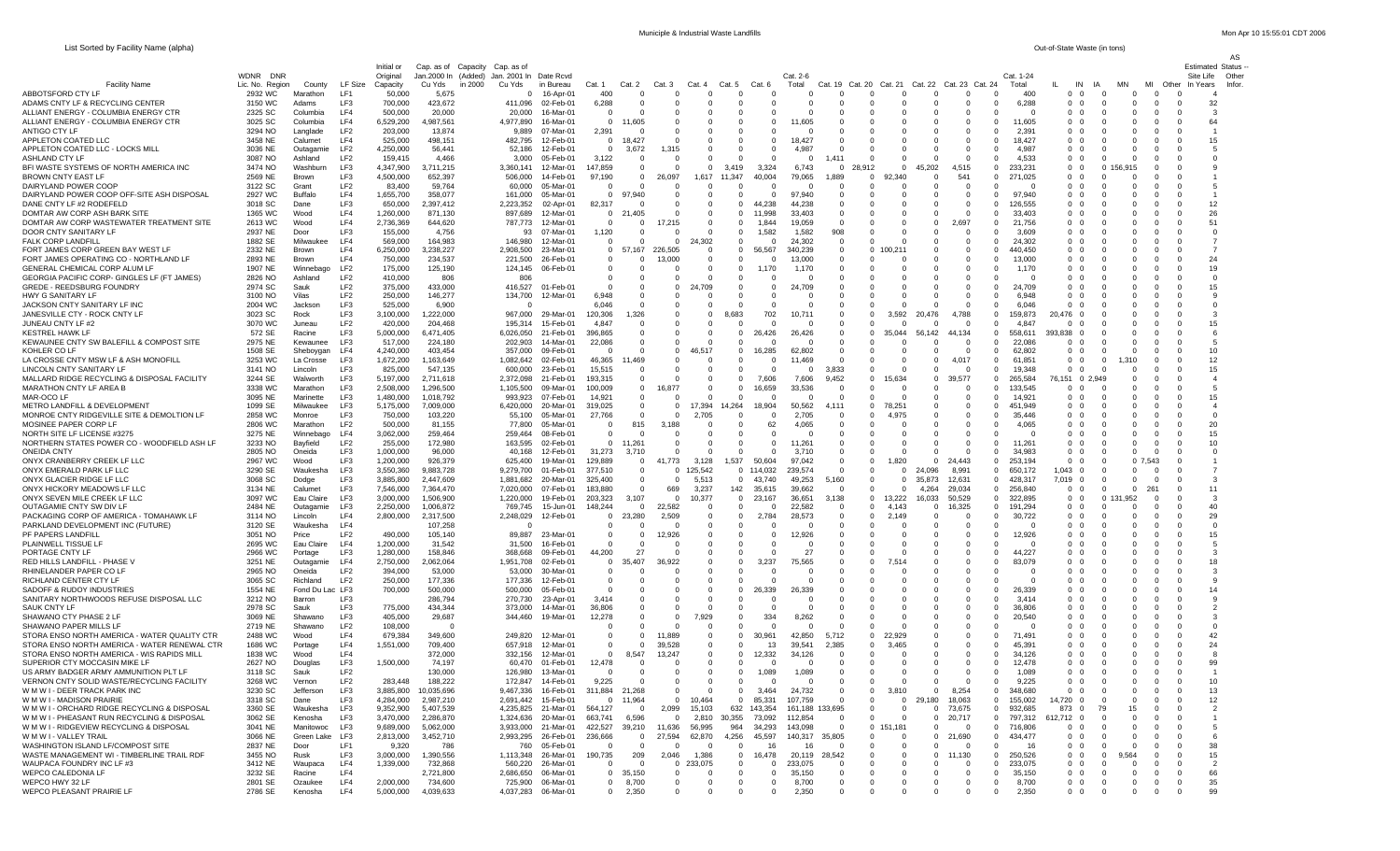AS

| List Sorted by Facility Name (alpha) | Out-of-State Waste (in tons) |
|--------------------------------------|------------------------------|
|                                      |                              |

|                                                                                              |                                       |                         |                                    | Initial or             | Cap. as of Capacity Cap. as of             |         |                      |                                            |                         |                                  |                          |                              |                                |                              |                    |                                 |                      |                      |                              |                            |                               |                    |                                               |                             |                         |                          |                            | <b>Estimated Status</b> |
|----------------------------------------------------------------------------------------------|---------------------------------------|-------------------------|------------------------------------|------------------------|--------------------------------------------|---------|----------------------|--------------------------------------------|-------------------------|----------------------------------|--------------------------|------------------------------|--------------------------------|------------------------------|--------------------|---------------------------------|----------------------|----------------------|------------------------------|----------------------------|-------------------------------|--------------------|-----------------------------------------------|-----------------------------|-------------------------|--------------------------|----------------------------|-------------------------|
| <b>Facility Name</b>                                                                         | <b>WDNR</b><br>DNR<br>Lic. No. Region | County                  | LF Size                            | Original<br>Capacity   | Jan.2000 In (Added) Jan. 2001 In<br>Cu Yds | in 2000 | Cu Yds               | Date Rcvd<br>in Bureau                     | Cat. 1                  | Cat. 2                           | Cat. 3                   | Cat.                         | Cat. 5                         | Cat. 6                       | Cat. 2-6<br>Total  | Cat.                            | Cat. 20              | Cat. 21              | Cat. 22                      | Cat. 23 Cat. 24            |                               | Cat. 1-24<br>Total | IN                                            | ΙA                          | MN                      | мі<br>Other              | Site Life<br>In Years      | Other<br>Infor          |
| ABBOTSFORD CTY LF                                                                            | 2932 WC                               | Marathon                | LF1                                | 50,000                 | 5,675                                      |         | $\Omega$             | 16-Apr-01                                  | 400                     | $\Omega$                         | c                        | $\Omega$                     |                                |                              |                    | -C                              | $\Omega$             | $\Omega$             | $\Omega$                     | $\Omega$                   |                               | 400                | $\Omega$<br>$\Omega$                          | $\Omega$                    | - 0                     | $\Omega$                 | - 0                        |                         |
| ADAMS CNTY LF & RECYCLING CENTER<br>ALLIANT ENERGY - COLUMBIA ENERGY CTR                     | 3150 WC                               | Adams                   | LF3                                | 700,000                | 423,672                                    |         | 411,096              | 02-Feb-01                                  | 6,288<br>$\Omega$       |                                  | C                        | 0                            |                                |                              |                    | $\Omega$                        |                      | - 0                  | $\mathbf 0$<br>$\Omega$      | $^{\circ}$<br>$\Omega$     | $^{\circ}$                    | 6,288              | $\Omega$                                      |                             | $\Omega$                | $^{\circ}$               | 0<br>$\Omega$              | 32                      |
| ALLIANT ENERGY - COLUMBIA ENERGY CTR                                                         | 2325 SC<br>3025 SC                    | Columbia<br>Columbia    | LF4<br>LF4                         | 500,000<br>6,529,200   | 20,000<br>1,987,561                        |         | 20,000<br>4,977,890  | 16-Mar-01<br>16-Mar-01                     | $\mathbf{0}$            | 11,605                           | $\Omega$<br>$\Omega$     | $\Omega$<br>$\Omega$         |                                | - 0                          | ,605               | $\Omega$<br>$\mathbf{0}$        |                      | - 0<br>$\Omega$      | 0                            | - 0                        | $\Omega$                      | 11,605             | 0 0<br>0 0                                    | $\Omega$                    | $\Omega$<br>$\Omega$    | $\Omega$<br>$\Omega$     | $\Omega$                   | -3<br>64                |
| ANTIGO CTY LF                                                                                | 3294 NO                               | Langlade                | LF <sub>2</sub>                    | 203,000                | 13,874                                     |         | 9,889                | 07-Mar-01                                  | 2,391                   |                                  | $\Omega$                 | $\Omega$                     |                                |                              |                    | $\Omega$                        |                      | $\Omega$             | $\Omega$                     | $\Omega$                   |                               | 2,391              | $\Omega$<br>$\Omega$                          | $\Omega$                    | $\Omega$                | $\Omega$                 | $\Omega$                   |                         |
| APPLETON COATED LLC                                                                          | 3458 NE                               | Calumet                 | LF4                                | 525,000                | 498,151                                    |         | 482,795              | 12-Feb-01                                  | $\Omega$                | 18,427                           | $\Omega$                 | $\Omega$                     | - 0                            | - 0                          | 18,427             | $\Omega$                        | - 0                  | $\Omega$             | $\Omega$                     | $\Omega$                   | $\Omega$                      | 18.427             | 00                                            | $\Omega$                    | -0                      | $\Omega$                 | $\Omega$                   | 15                      |
| APPLETON COATED LLC - LOCKS MILL<br>ASHLAND CTY LF                                           | 3036 NE<br>3087 NO                    | Outagamie<br>Ashland    | LF <sub>2</sub><br>LF <sub>2</sub> | 4,250,000<br>159,415   | 56,441<br>4,466                            |         | 52,186<br>3,000      | 12-Feb-01<br>05-Feb-01                     | 0<br>3,122              | 3,672<br>$\Omega$                | 1.315<br>C               | $^{\circ}$<br>$\mathbf{0}$   |                                |                              | 4,987<br>$\Omega$  | $\overline{0}$<br>1,411         |                      | - 0<br>- 0           | $\Omega$<br>$\Omega$         | $\Omega$<br>$\Omega$       | $\Omega$<br>$\Omega$          | 4,987<br>4.533     | 0 0<br>0 <sub>0</sub>                         | $\Omega$                    | -0                      | $\Omega$<br>$\Omega$     | $\Omega$<br>$\Omega$       |                         |
| BFI WASTE SYSTEMS OF NORTH AMERICA INC                                                       | 3474 NO                               | Washburn                | LF3                                | 4,347,900              | 3,711,215                                  |         | 3,360,141            | 12-Mar-01                                  | 147,859                 | $\Omega$                         | 0                        | $\mathbf{0}$                 | 3.419                          | 3,324                        | 6,743              | $\mathbf{0}$                    | 28.912               | $^{\circ}$           | 45,202                       | 4,515                      | - 0                           | 233,231            | $0\quad 0$                                    |                             | 0 156.915               | - 0                      | $\Omega$                   |                         |
| BROWN CNTY EAST LF<br>DAIRYLAND POWER COOF                                                   | 2569 NE<br>3122 SC                    | Brown<br>Grant          | LF3<br>LF <sub>2</sub>             | 4,500,000<br>83,400    | 652,397<br>59,764                          |         | 506,000<br>60,000    | 14-Feb-01<br>05-Mar-01                     | 97,190<br>$\Omega$      | $\Omega$                         | 26,097<br>r              | 1,617<br>Ð                   | 11,347                         | 40,004                       | 79,065             | 1,889<br>$\Omega$               | $\Omega$<br>- 0      | 92.340<br>- 0        | $\Omega$<br>$\Omega$         | 541<br>$\Omega$            |                               | 271,025            | $\Omega$<br>$\Omega$<br>$\Omega$<br>$\Omega$  | $\Omega$<br>$\Omega$        | $\Omega$<br>$\Omega$    | $\Omega$<br>$\Omega$     | $\Omega$<br>- 0            |                         |
| DAIRYLAND POWER COOP OFF-SITE ASH DISPOSAL                                                   | 2927 WC                               | Buffalo                 | LF4                                | 1,655,700              | 358,077                                    |         | 161,000              | 05-Mar-01                                  | 0                       | 97,940                           | C                        | 0                            |                                |                              | 97,940             | $^{\circ}$                      |                      | - 0                  | $\mathbf 0$                  | $\mathbf{0}$               | $\Omega$                      | 97,940             | $^{\circ}$                                    |                             | $\Omega$                | $\Omega$                 | 0                          |                         |
| DANE CNTY LF #2 RODEFELD                                                                     | 3018 SC                               | Dane                    | LF3                                | 650,000                | 2,397,412                                  |         | 2,223,352            | 02-Apr-01                                  | 82,317                  |                                  | $\Omega$                 | $\Omega$                     | $\Omega$                       | 44,238                       | 44,238             | $\mathbf 0$                     |                      | - 0                  | $\Omega$                     | $^{\circ}$                 | 0                             | 126,555            | 0 0                                           | $\Omega$                    | $\Omega$                | $\Omega$                 | $\Omega$                   | 12                      |
| DOMTAR AW CORP ASH BARK SITE<br>DOMTAR AW CORP WASTEWATER TREATMENT SITE                     | 1365 WC<br>2613 WC                    | Wood<br>Wood            | LF4<br>LF4                         | 1,260,000<br>2,736,369 | 871,130<br>644,620                         |         | 897,689<br>787,773   | 12-Mar-01<br>12-Mar-01                     | $^{\circ}$<br>0         | -21<br>,405<br>$\Omega$          | $\Omega$<br>17,215       | $^{\circ}$<br>$\Omega$       | $\Omega$<br>$\Omega$           | 11,998<br>1.844              | 33,403<br>19,059   | $^{\circ}$<br>$\Omega$          |                      | $\Omega$<br>$\Omega$ | - 0<br>$\Omega$              | - 0<br>2,697               | - 0                           | 33,403<br>21,756   | 0 0<br>$\Omega$<br>$\Omega$                   | $\Omega$<br>$\Omega$        | $\Omega$<br>$\Omega$    | $\Omega$<br>$\Omega$     | $\Omega$<br>$\Omega$<br>51 | 26                      |
| DOOR CNTY SANITARY LF                                                                        | 2937 NE                               | Door                    | LF3                                | 155,000                | 4.756                                      |         | 93                   | 07-Mar-01                                  | 1,120                   | - 0                              | - 0                      | $\Omega$                     | $\Omega$                       | 1,582                        | 1,582              | 908                             | - 0                  | - 0                  | $\Omega$                     | $\Omega$                   | $\Omega$                      | 3,609              | 00                                            | $\Omega$                    | -0                      | $\Omega$                 | $\Omega$                   | $\Omega$                |
| <b>FALK CORP LANDFILI</b>                                                                    | 1882 SE                               | Milwaukee               | LF4                                | 569,000                | 164,983                                    |         | 146,980              | 12-Mar-01                                  | $\Omega$                |                                  | 0                        | 24,302                       | $\Omega$                       |                              | 24,302             | $\mathbf 0$                     |                      | - 0                  | $\Omega$                     | $\Omega$                   | $\Omega$                      | 24,302             | 0 0                                           |                             |                         | $\Omega$                 | 0                          |                         |
| FORT JAMES CORP GREEN BAY WEST LF<br>FORT JAMES OPERATING CO - NORTHLAND LF                  | 2332 NE<br>2893 NE                    | Brown<br>Brown          | LF4<br>LF4                         | 6,250,000<br>750,000   | 3,238,227<br>234,537                       |         | 2,908,500<br>221,500 | 23-Mar-01<br>26-Feb-01                     | 0                       | 0, 57, 167<br>- 0                | 226,505<br>13,000        | $\Omega$<br>$\mathbf{0}$     | $\mathbf{0}$<br>- 0            | 56,567                       | 340,239<br>13,000  | 0<br>$\mathbf{0}$               |                      | 100,211<br>- 0       | $\Omega$<br>0                | - 0<br>- 0                 | $\Omega$<br>- 0               | 440,450<br>13,000  | 0 0<br>$0\quad 0$                             | $\Omega$                    | -0                      | $\Omega$<br>0            | $\Omega$<br>$\Omega$       | 24                      |
| GENERAL CHEMICAL CORP ALUM LF                                                                | 1907 NE                               | Winnebago               | LF <sub>2</sub>                    | 175,000                | 125,190                                    |         | 124,145              | 06-Feb-01                                  | $\Omega$                | $\Omega$                         | $\Omega$                 | $\Omega$                     | $\Omega$                       | 1,170                        | 1,170              | $\Omega$                        |                      | - 0                  | $\Omega$                     | $\Omega$                   |                               | 1,170              | $\Omega$<br>$\Omega$                          | $\Omega$                    | $\Omega$                |                          | $\Omega$                   | 19                      |
| GEORGIA PACIFIC CORP- GINGLES LF (FT JAMES)                                                  | 2826 NO                               | Ashland                 | LF <sub>2</sub>                    | 410,000                | 806                                        |         | 80 <sub>6</sub>      |                                            | $\Omega$                | $\Omega$                         | C                        | $\Omega$                     | - 0                            |                              |                    | $\Omega$                        |                      | $\Omega$             | $\Omega$                     | $\Omega$                   |                               |                    | $\Omega$<br>$\Omega$                          |                             | -0                      | $^{\circ}$               | $\Omega$                   | $\Omega$                |
| <b>GREDE - REEDSBURG FOUNDRY</b><br>HWY G SANITARY LF                                        | 2974 SC<br>3100 NO                    | Sauk<br>Vilas           | LF <sub>2</sub><br>LF <sub>2</sub> | 375,000<br>250,000     | 433,000<br>146,277                         |         | 416,527<br>134,700   | 01-Feb-01<br>12-Mar-01                     | 0<br>6,948              | $\Omega$                         | 0<br>$\Omega$            | 24,709<br>$\Omega$           |                                | $^{\circ}$                   | 24,709             | 0<br>$\Omega$                   |                      | - 0<br>- 0           | 0<br>$\Omega$                | $^{\circ}$<br>$^{\circ}$   | $\Omega$                      | 24,709<br>6.948    | $\Omega$<br>$^{\circ}$<br>0 0                 | $\Omega$                    | -0                      | $\Omega$                 | 0<br>$\Omega$              | 15                      |
| JACKSON CNTY SANITARY LF INC                                                                 | 2004 WC                               | Jackson                 | LF3                                | 525,000                | 6,900                                      |         | - 0                  |                                            | 6,046                   | $\Omega$                         | $\Omega$                 | $\Omega$                     | - 0                            | - റ                          | - 0                | 0                               |                      | $\Omega$             | - 0                          | - 0                        | - 0                           | 6,046              | $^{\circ}$<br>$\Omega$                        | $\Omega$                    | -0                      | $\Omega$                 | $\Omega$                   | - 0                     |
| JANESVILLE CTY - ROCK CNTY LF                                                                | 3023 SC                               | Rock                    | LF3                                | 3,100,000              | 1,222,000                                  |         | 967,000              | 29-Mar-01                                  | 120,306                 | 1,326                            | $\Omega$                 | $\Omega$                     | 683<br>-8                      | 702                          | 10,711             | $\Omega$                        |                      | 3,592                | 20,476                       | 4,788                      |                               | 159,873            | $\Omega$<br>20.476                            | $\Omega$                    |                         |                          | $\Omega$                   |                         |
| JUNEAU CNTY LF #2<br><b>KESTREL HAWK LF</b>                                                  | 3070 WC<br>572 SE                     | Juneau<br>Racine        | LF <sub>2</sub><br>LF3             | 420,000<br>5,000,000   | 204.468<br>6,471,405                       |         | 195,314<br>6,026,050 | 15-Feb-01<br>21-Feb-01                     | 4,847<br>396,865        | $\Omega$                         | $\Omega$<br>$\Omega$     | $\Omega$<br>$\Omega$         | $\Omega$                       | 26.426                       | $\Omega$<br>26,426 | $\Omega$<br>$\Omega$            | $\Omega$             | $\Omega$<br>35,044   | $\Omega$<br>56,142           | $\Omega$<br>44,134         | - 0                           | 4,847<br>558,611   | - 0<br>0<br>393,838<br>$\Omega$               | $\Omega$                    |                         | - 0                      | $\Omega$<br>$\Omega$       | 15                      |
| KEWAUNEE CNTY SW BALEFILL & COMPOST SITE                                                     | 2975 NE                               | Kewaunee                | LF3                                | 517,000                | 224,180                                    |         | 202,903              | 14-Mar-01                                  | 22,086                  | $\Omega$                         | $\Omega$                 | $\Omega$                     |                                |                              |                    | 0                               |                      | - 0                  | $\Omega$                     | $\mathbf{0}$               | $\Omega$                      | 22,086             | 0 0                                           |                             |                         |                          | $\Omega$                   |                         |
| KOHLER CO LF                                                                                 | 1508 SE                               | Sheboygan               | LF4                                | 4,240,000              | 403,454                                    |         | 357,000              | 09-Feb-01                                  | $\mathbf{0}$            | $\Omega$                         | 0                        | 46.517                       | $\Omega$                       | 16,285                       | 62,802             | $^{\circ}$                      |                      | - 0                  | 0                            | - 0                        | - 0                           | 62,802             | $0\quad 0$                                    | $\Omega$                    | -0                      | 0                        | $\Omega$                   | 10                      |
| LA CROSSE CNTY MSW LF & ASH MONOFILL<br>LINCOLN CNTY SANITARY LF                             | 3253 WC<br>3141 NO                    | La Crosse<br>Lincoln    | LF3<br>LF3                         | 1,672,200<br>825,000   | 1,163,649<br>547,135                       |         | 1,082,642<br>600,000 | 02-Feb-01<br>23-Feb-01                     | 46,365<br>15,515        | 11,469<br>$\Omega$               | $\Omega$<br>c            | $\Omega$<br>$\Omega$         | $\Omega$<br>- 0                | - 0                          | 11,469<br>$\Omega$ | $\Omega$<br>3,833               | - 0                  | - 0<br>- 0           | $\mathbf 0$<br>$\Omega$      | 4.017<br>$\Omega$          | $\Omega$<br>- 0               | 61,85'<br>19,348   | $\Omega$<br>$\Omega$<br>$\Omega$<br>$\Omega$  | $\Omega$                    | 1.310<br>-0             | $\Omega$<br>$^{\circ}$   | $\Omega$<br>$\Omega$       | 12<br>15                |
| MALLARD RIDGE RECYCLING & DISPOSAL FACILITY                                                  | 3244 SE                               | Walworth                | LF3                                | 5,197,000              | 2,711,618                                  |         | 2,372,098            | 21-Feb-01                                  | 193,315                 | $\Omega$                         | C                        | 0                            |                                | 7,606                        | 7,606              | 9,452                           | $\Omega$             | 15,634               | $\mathbf 0$                  | 39,577                     | $\Omega$                      | 265,584            | 76.151 0 2.949                                |                             | 0                       |                          | $\Omega$                   |                         |
| MARATHON CNTY LF AREA B                                                                      | 3338 WC                               | Marathon                | LF3                                | 2,508,000              | 1,296,500                                  |         | 1,105,500            | 09-Mar-01                                  | 100,009                 | $\overline{0}$                   | 16.877                   | 0                            | $\Omega$                       | 16,659                       | 33,536             | 0                               |                      | - 0                  | $\Omega$                     | $^{\circ}$                 | $\Omega$                      | 133,545            | 0 <sub>0</sub><br>$^{\circ}$                  |                             | $\Omega$                | $\Omega$                 | $\Omega$                   | $\sqrt{5}$              |
| MAR-OCO LF<br><b>METRO LANDFILL &amp; DEVELOPMENT</b>                                        | 3095 NE<br>1099 SE                    | Marinette<br>Milwaukee  | LF3<br>LF3                         | 1,480,000<br>5,175,000 | 1,018,792<br>7,009,000                     |         | 993,923<br>6,420,000 | 07-Feb-01<br>20-Mar-01                     | 14,921<br>319,025       | - 0<br>$\Omega$                  | r<br>$\Omega$            | $\Omega$<br>17,394           | 14,264                         | - 0<br>18,904                | $\Omega$<br>50,562 | 0<br>4.111                      |                      | - 0<br>78,251        | 0<br>$\Omega$                | - 0<br>$\Omega$            | $^{\circ}$                    | 14,921<br>451.949  | $\Omega$<br>$\Omega$<br>$\Omega$              | -0<br>$\Omega$              | $\Omega$<br>$\Omega$    | $\Omega$<br>$\Omega$     | $\Omega$<br>$\Omega$       | 15                      |
| MONROE CNTY RIDGEVILLE SITE & DEMOLTION LF                                                   | 2858 WC                               | Monroe                  | LF3                                | 750,000                | 103,220                                    |         | 55,100               | 05-Mar-01                                  | 27,766                  | $\Omega$                         | - 0                      | 2,705                        | $\Omega$                       | - റ                          | 2,705              | $\Omega$                        |                      | 4.975                | $\Omega$                     | $\Omega$                   | - 0                           | 35.446             | 00                                            | $\Omega$                    | -0                      | $\Omega$                 | $\Omega$                   | $\Omega$                |
| MOSINEE PAPER CORP LF<br>NORTH SITE LF LICENSE #3275                                         | 2806 WC<br>3275 NE                    | Marathon<br>Winnebago   | LF <sub>2</sub><br>LF4             | 500,000<br>3,062,000   | 81,155<br>259,464                          |         | 77,800<br>259,464    | 05-Mar-01<br>08-Feb-01                     | 0<br>0                  | 815<br>$\Omega$                  | 3,188<br>$\Omega$        | 0<br>0                       | - 0                            | 62<br>$\Omega$               | 4,065              | 0<br>0                          |                      | - 0<br>- 0           | $\Omega$<br>$\Omega$         | $\Omega$<br>$\Omega$       |                               | 4,065              | 0 0<br>0 0                                    |                             |                         | 0                        | $\Omega$<br>$\Omega$       | 20<br>15                |
| NORTHERN STATES POWER CO - WOODFIELD ASH LF                                                  | 3233 NO                               | Bayfield                | LF <sub>2</sub>                    | 255,000                | 172,980                                    |         | 163,595              | 02-Feb-01                                  | $\overline{0}$          | 11,261                           | 0                        | $\mathbf{0}$                 | $\Omega$                       | - 0                          | 11,261             | $^{\circ}$                      |                      | $\Omega$             | 0                            | - 0                        | $\Omega$                      | 11,261             | 00                                            | $\Omega$                    | $^{\circ}$              | $\Omega$                 | $\Omega$                   | 10                      |
| <b>ONEIDA CNTY</b>                                                                           | 2805 NO                               | Oneida                  | LF3                                | 1,000,000              | 96,000                                     |         | 40,168               | 12-Feb-01                                  | 31,273                  | 3,710                            | $\Omega$                 | $\Omega$                     | $\Omega$                       |                              | 3.710              | $\Omega$                        |                      | $\Omega$             | $\Omega$                     | $\Omega$                   | $\Omega$                      | 34.983             | $\Omega$<br>$\Omega$                          | $\Omega$                    | $\Omega$                | $\Omega$                 | $\Omega$                   | $\Omega$                |
| ONYX CRANBERRY CREEK LF LLC<br>ONYX EMERALD PARK LF LLC                                      | 2967 WC<br>3290 SE                    | Wood<br>Waukesha        | LF3<br>LF3                         | 1,200,000<br>3,550,360 | 926,379<br>9,883,728                       |         | 625,400<br>9,279,700 | 19-Mar-01<br>01-Feb-01                     | 129,889<br>377,510      | $\Omega$<br>- 0                  | 41,773<br>0              | 3,128<br>125,542             | 1,537<br>$\mathbf{0}$          | 50,604<br>114,032            | 97,042<br>239,574  | $\Omega$<br>$^{\circ}$          | $\Omega$             | 1,820<br>$^{\circ}$  | $\Omega$<br>24,096           | 24.443<br>8,991            | $\Omega$<br>$\Omega$          | 253,194<br>650,172 | $\Omega$<br>$\Omega$<br>1,043<br>$\mathbf{0}$ | $\Omega$                    | 0.7.543<br>$\Omega$     |                          | - 0<br>- 0                 |                         |
| ONYX GLACIER RIDGE LF LLC                                                                    | 3068 SC                               | Dodge                   | LF3                                | 3,885,800              | 2,447,609                                  |         | 1,881,682            | 20-Mar-01                                  | 325,400                 | $\mathbf 0$                      | $\Omega$                 | 5,513                        | $\Omega$                       | 43,740                       | 49,253             | 5,160                           |                      | $\Omega$             | 35.873                       | 12,631                     | $\Omega$                      | 428,317            | 7,019<br>$\overline{0}$                       | $\Omega$                    | $\Omega$                | $\Omega$                 | $\Omega$                   | 3                       |
| ONYX HICKORY MEADOWS LF LLC                                                                  | 3134 NE                               | Calumet                 | LF3                                | 7,546,000              | 7,364,470                                  |         | 7,020,000            | 07-Feb-01                                  | 183,880                 | $\Omega$                         | 669                      | 3,237                        | 142                            | 35,615                       | 39,662             | $\mathbf{0}$                    | $\Omega$             | $^{\circ}$           | 4.264                        | 29,034                     | $\Omega$                      | 256,840            | $\Omega$<br>$\mathbf{0}$                      | $\Omega$                    | $^{\circ}$              | 261                      | 11<br>- 0                  |                         |
| ONYX SEVEN MILE CREEK LF LLC<br>OUTAGAMIE CNTY SW DIV LF                                     | 3097 WC<br>2484 NE                    | Eau Claire<br>Outagamie | LF3<br>LF3                         | 3,000,000<br>2,250,000 | 1,506,900<br>1,006,872                     |         | 1,220,000<br>769,745 | 19-Feb-01<br>15-Jun-01                     | 203,323<br>148,244      | 3,107<br>$\Omega$                | $\Omega$<br>22,582       | 10,377<br>$\Omega$           | $\Omega$                       | 23,167                       | 36,651<br>22,582   | 3,138<br>$\Omega$               | - 0                  | 13,222<br>4.143      | 16,033<br>$\Omega$           | 50,529<br>16,325           | $\Omega$<br>- 0               | 322,895<br>191,294 | $\Omega$<br>$\Omega$<br>00                    | 0 <sub>13</sub><br>$\Omega$ | 952<br>$\Omega$         | $\Omega$<br>$\Omega$     | $\Omega$<br>$\Omega$       | 3<br>40                 |
| PACKAGING CORP OF AMERICA - TOMAHAWK LF                                                      | 3114 NO                               | Lincoln                 | LF4                                | 2,800,000              | 2,317,500                                  |         | 2,248,029            | 12-Feb-01                                  | 0                       | 23,280                           | 2,509                    | 0                            | $\Omega$                       | 2,784                        | 28,573             | $^{\circ}$                      |                      | 2,149                | $\Omega$                     | - 0                        | $\Omega$                      | 30,722             | - 0                                           |                             |                         | $\Omega$                 | $\Omega$                   | 29                      |
| PARKLAND DEVELOPMENT INC (FUTURE)                                                            | 3120 SE                               | Waukesha                | LF4                                |                        | 107,258                                    |         | - 0                  |                                            | 0                       | $\Omega$                         | C                        | 0                            | - 0                            |                              |                    | 0                               |                      | - 0                  | $\Omega$                     | $\mathbf{0}$               |                               |                    | 0 0                                           | $\Omega$                    | -0                      | $\Omega$                 | $\Omega$                   |                         |
| PF PAPERS LANDFILL<br>PLAINWELL TISSUE LF                                                    | 3051 NO<br>2695 WC                    | Price<br>Eau Claire     | LF <sub>2</sub><br>LF4             | 490,000<br>1,200,000   | 105,140<br>31,542                          |         | 89,887<br>31,500     | 23-Mar-01<br>16-Feb-01                     | 0<br>$\Omega$           | $^{\circ}$<br>$\Omega$           | 12,926<br>$\Omega$       | $^{\circ}$<br>$\Omega$       | - 0                            | $\mathbf{0}$                 | 12,926             | $^{\circ}$<br>$\Omega$          |                      | - 0<br>- 0           | 0<br>$\Omega$                | - 0<br>$\Omega$            | $\Omega$                      | 12,926             | 0 0<br>$\Omega$                               | $\Omega$<br>$\Omega$        | $\Omega$<br>$\Omega$    | $\Omega$                 | $\Omega$<br>$\Omega$       | 15<br>-5                |
| PORTAGE CNTY LF                                                                              | 2966 WC                               | Portage                 | LF3                                | 1,280,000              | 158,846                                    |         | 368,668              | 09-Feb-01                                  | 44,200                  | 27                               | $\Omega$                 | $\Omega$                     | - 0                            |                              | 27                 | $\Omega$                        |                      | - 0                  | $\Omega$                     | $\Omega$                   | - 0                           | 44,227             | $\Omega$<br>$\Omega$                          | $\Omega$                    | -0                      | 0                        | - 0                        | -3                      |
| RED HILLS LANDFILL - PHASE<br>RHINELANDER PAPER CO LF                                        | 3251 NE<br>2965 NO                    | Outagamie<br>Oneida     | LF4<br>LF <sub>2</sub>             | 2,750,000<br>394,000   | 2,062,064<br>53,000                        |         | 1,951,708<br>53,000  | 02-Feb-01<br>30-Mar-01                     | 0<br>$\Omega$           | 35,407                           | 36,922                   | 0<br>$\Omega$                |                                | 3,237                        | 75,565             | $^{\circ}$<br>$\Omega$          |                      | 7,514<br>- 0         | $\mathbf 0$<br>$\Omega$      | $^{\circ}$<br>$\Omega$     |                               | 83,079             | - 0<br>0 <sub>0</sub>                         | $\Omega$                    | $\Omega$<br>$\Omega$    | $\Omega$                 | - 0<br>$\Omega$            | 18<br>-3                |
| RICHLAND CENTER CTY LF                                                                       | 3065 SC                               | Richland                | LF <sub>2</sub>                    | 250,000                | 177,336                                    |         | 177,336              | 12-Feb-01                                  | 0                       |                                  | 0                        | $\Omega$                     |                                |                              | $\Omega$           | 0                               |                      | - 0                  | 0                            | 0                          |                               | $\Omega$           | $^{\circ}$<br>$\Omega$                        | $\Omega$                    | $\Omega$                | $\Omega$                 | $\Omega$                   |                         |
| SADOFF & RUDOY INDUSTRIES                                                                    | 1554 NE                               | Fond Du Lac LF3         |                                    | 700,000                | 500,000                                    |         | 500,000              | 05-Feb-01                                  | $\Omega$                |                                  | $\Omega$                 | $\Omega$                     |                                | 26,339                       | 339                | $\Omega$                        |                      | $\Omega$             | $\Omega$                     | $\Omega$                   |                               | 26.339             | $\Omega$<br>$\Omega$                          | $\Omega$                    | $\Omega$                | $\Omega$                 | $\Omega$                   | 14                      |
| SANITARY NORTHWOODS REFUSE DISPOSAL LLC<br>SAUK CNTY LF                                      | 3212 NO<br>2978 SC                    | Barron<br>Sauk          | LF3<br>LF3                         | 775,000                | 286,794<br>434,344                         |         | 270,730<br>373,000   | 23-Apr-01<br>14-Mar-01                     | 3,414<br>36,806         | $\Omega$<br>$\Omega$             | $\Omega$<br>$\Omega$     | $\Omega$<br>$\Omega$         | - 0                            |                              | $\Omega$           | $\Omega$<br>$\Omega$            | - 0                  | - 0<br>- 0           | $\Omega$<br>$\Omega$         | $\Omega$<br>$\Omega$       | $\Omega$                      | 3.414<br>36,806    | 00<br>$0\quad 0$                              | $\Omega$                    | -0                      | $\Omega$<br>$\Omega$     | $\Omega$<br>$\Omega$       | <b>q</b>                |
| SHAWANO CTY PHASE 2 LF                                                                       | 3069 NE                               | Shawano                 | LF3                                | 405,000                | 29,687                                     |         | 344,460              | 19-Mar-01                                  | 12,278                  | $\Omega$                         | 0                        | 7,929                        | 0                              | 334                          | 8,262              | 0                               |                      | - 0                  | $\Omega$                     | $^{\circ}$                 | $\Omega$                      | 20,540             | 0 0                                           | $\Omega$                    |                         | 0                        | $\Omega$                   | -3                      |
| SHAWANO PAPER MILLS LF                                                                       | 2719 NE                               | Shawano                 | LF <sub>2</sub>                    | 108,000                | $\Omega$                                   |         |                      |                                            | 0                       | $\Omega$                         | $\Omega$                 | 0                            | $\Omega$                       | - 0                          |                    | $\Omega$                        |                      | - 0                  | $\Omega$                     | - 0                        |                               |                    | $^{\circ}$<br>$\Omega$                        | $\Omega$                    | -0                      | $^{\circ}$               | $\Omega$                   | - 0                     |
| STORA ENSO NORTH AMERICA - WATER QUALITY CTR<br>STORA ENSO NORTH AMERICA - WATER RENEWAL CTR | 2488 WC<br>1686 WC                    | Wood<br>Portage         | LF4<br>LF4                         | 679,384<br>1,551,000   | 349,600<br>709,400                         |         | 249,820<br>657,918   | 12-Mar-01<br>12-Mar-01                     | $\Omega$<br>$\Omega$    | $\Omega$<br>$^{\circ}$           | 11,889<br>39,528         | $\Omega$<br>$\Omega$         | $\Omega$<br>- 0                | 30,961<br>13                 | 42,850<br>39,541   | 5,712<br>2,385                  | $\Omega$<br>$\Omega$ | 22,929<br>3,465      | $\Omega$<br>$\Omega$         | $\Omega$<br>$\Omega$       |                               | 71.49'<br>45.39    | $\Omega$<br>$\Omega$<br>- 0                   | $\Omega$                    | $\Omega$<br>-0          |                          | $\Omega$<br>-0             | 42<br>24                |
| STORA ENSO NORTH AMERICA - WIS RAPIDS MILL                                                   | 1838 WC                               | Wood                    | LF4                                |                        | 372,000                                    |         | 332,156              | 12-Mar-01                                  | 0                       | 8,547                            | 13,247                   | 0                            |                                | 12,332                       | 34,126             | O                               |                      | - 0                  | 0                            | $\Omega$                   |                               | 34.126             | - 0                                           |                             |                         |                          | 0                          |                         |
| SUPERIOR CTY MOCCASIN MIKE LF                                                                | 2627 NO                               | Douglas                 | LF3                                | 1,500,000              | 74,197                                     |         | 60,470               | 01-Feb-01                                  | 12,478                  |                                  |                          | $\Omega$                     |                                |                              |                    | $^{\circ}$                      |                      | - 0                  | $\Omega$                     | $\Omega$                   |                               | 12,478             | 0 0                                           | $\Omega$                    | $\Omega$                | $\Omega$                 | 99<br>$\Omega$             |                         |
| US ARMY BADGER ARMY AMMUNITION PLT LF<br>VERNON CNTY SOLID WASTE/RECYCLING FACILITY          | 3118 SC<br>3268 WC                    | Sauk<br>Vernon          | LF <sub>2</sub><br>LF <sub>2</sub> | 283.448                | 130,000<br>188,222                         |         | 126,980<br>172,847   | 13-Mar-01<br>14-Feb-01                     | $\Omega$<br>9,225       | $\Omega$                         | - 0                      | $^{\circ}$<br>$\Omega$       | $\Omega$                       | 1,089                        | 1,089              | $\mathbf{0}$<br>$\Omega$        | - 0                  | $\Omega$             | - 0<br>$\Omega$              | - 0                        | - 0                           | 1,089<br>9,225     | $0\quad 0$<br>$\Omega$<br>$\Omega$            | $\mathbf{0}$<br>$\Omega$    | $^{\circ}$<br>$\Omega$  | $\mathbf{0}$<br>$\Omega$ | 0<br>$\Omega$              | 10                      |
| W M W I - DEER TRACK PARK INC                                                                | 3230 SC                               | Jefferson               | LF3                                | 3,885,800              | 10,035,696                                 |         | 9,467,336            | 16-Feb-01                                  | 311,884 21,268          |                                  | $\Omega$                 | $\Omega$                     | $\Omega$                       | 3,464                        | 24,732             | $\Omega$                        | $\Omega$             | 3,810                | $\Omega$                     | 8,254                      | $\Omega$                      | 348,680            | $\Omega$<br>$\Omega$                          |                             | $\Omega$                | $\Omega$                 | $\Omega$                   | 13                      |
| W M W I - MADISON PRAIRIE                                                                    | 3318 SC                               | Dane                    | LF3                                | 4,284,000              | 2,987,210                                  |         | 2,691,442            | 15-Feb-01                                  | $\mathbf{0}$            | 11,964                           | $^{\circ}$               | 10,464                       | $\mathbf{0}$                   | 85,331                       | 107,759            | $\mathbf 0$                     |                      | $\overline{0}$       | 29,180                       | 18,063                     | $\mathbf{0}$                  | 155,002            | 14,720<br>$\Omega$                            |                             |                         | $\Omega$                 | $\Omega$                   | 12                      |
| W M W I - ORCHARD RIDGE RECYCLING & DISPOSAL<br>W M W I - PHEASANT RUN RECYCLING & DISPOSAL  | 3360 SE<br>3062 SE                    | Waukesha<br>Kenosha     | LF3<br>LF3                         | 9,352,900<br>3,470,000 | 5,407,539<br>2,286,870                     |         |                      | 4,235,825 21-Mar-01<br>1,324,636 20-Mar-01 | 564,127<br>663,741      | - 0<br>6,596                     | 2,099<br>$\mathbf{0}$    | 15,103<br>2,810              | 30,355                         | 632 143,354<br>73,092        | 112,854            | 161,188 133,695<br>$\mathbf{0}$ | 0                    | - 0<br>- 0           | 0<br>$\overline{\mathbf{0}}$ | 73,675<br>20,717           | $\mathbf 0$<br>$\overline{0}$ | 932,685<br>797,312 | 873 0<br>612,712<br>$\mathbf{0}$              | 79                          | 15                      | $\Omega$                 | $\Omega$<br>$\Omega$       | -2                      |
| W M W I - RIDGEVIEW RECYCLING & DISPOSAL                                                     | 3041 NE                               | Manitowoc               | LF3                                | 9,689,000              | 5,062,000                                  |         |                      | 3,933,000 21-Mar-01                        | 422,527                 | 39,210                           | 11,636                   | 56,995                       | 964                            | 34,293                       | 143,098            | $\mathbf{0}$                    |                      | $0$ 151,181          | $^{\circ}$                   | $^{\circ}$                 | $\mathbf{0}$                  | 716,806            | $\Omega$<br>$\Omega$                          | $\Omega$                    |                         |                          | $\Omega$                   | -5                      |
| W M W I - VALLEY TRAIL                                                                       | 3066 NE                               | Green Lake              | LF3                                | 2,813,000              | 3,452,710                                  |         |                      | 2,993,295 26-Feb-01                        | 236,666                 | $\overline{0}$                   | 27,594                   | 62,870                       | 4,256                          | 45,597                       |                    | 140,317 35,805                  | $\Omega$             | - 0                  | $^{\circ}$                   | 21,690                     | $\Omega$                      | 434,477            | $\Omega$<br>$\Omega$                          |                             | $\Omega$                |                          | $\Omega$                   | - 6                     |
| WASHINGTON ISLAND LF/COMPOST SITE<br>WASTE MANAGEMENT WI - TIMBERLINE TRAIL RDF              | 2837 NE<br>3455 NO                    | Door<br>Rusk            | LF1<br>LF3                         | 9,320<br>3,000,000     | 786<br>1,390,556                           |         | 760                  | 05-Feb-01<br>1,113,348 26-Mar-01           | $\mathbf{0}$<br>190,735 | $\Omega$<br>209                  | 0<br>2,046               | $\mathbf{0}$<br>1,386        | $\overline{0}$<br>$\mathbf{0}$ | 16<br>16,478                 | 16                 | $^{\circ}$<br>20,119 28,542     |                      | - 0<br>- 0           | $\mathbf 0$<br>0             | $\mathbf{0}$<br>11,130     | $\Omega$<br>$^{\circ}$        | 16<br>250,526      | $0\quad 0$<br>$0\quad 0$                      | $\mathbf 0$                 | 9,564                   |                          | $\mathbf 0$<br>$\Omega$    | 38<br>15                |
| WAUPACA FOUNDRY INC LF #3                                                                    | 3412 NE                               | Waupaca                 | LF4                                | 1,339,000              | 732,868                                    |         | 560,220              | 26-Mar-01                                  | $\overline{0}$          | $\overline{\mathbf{0}}$          |                          | 0 233,075                    | $\overline{0}$                 | $\mathbf{0}$                 | 233,075            | $\mathbf 0$                     | $\Omega$             | $\mathbf 0$          | $\mathbf 0$                  | $\mathbf{0}$               | $^{\circ}$                    | 233,075            | $0\quad 0$                                    | $\mathbf 0$                 | $\Omega$                | $\Omega$                 | $\Omega$                   | $\overline{2}$          |
| <b>WEPCO CALEDONIA LF</b>                                                                    | 3232 SE                               | Racine                  | LF4                                |                        | 2,721,800                                  |         | 2,686,650            | 06-Mar-01                                  |                         | $0$ 35,150                       | $\mathbf 0$              | $^{\circ}$                   | $\overline{0}$                 | $\mathbf{0}$                 | 35,150             | $\overline{0}$                  | $\Omega$             | $\overline{0}$       | $^{\circ}$                   | $\overline{0}$<br>$\Omega$ | $^{\circ}$                    | 35,150             | $0\quad 0$                                    | $\Omega$                    | 0                       | $\mathbf{0}$             | $\mathbf 0$<br>$\Omega$    | 66                      |
| WEPCO HWY 32 LF<br>WEPCO PLEASANT PRAIRIE LF                                                 | 2801 SE<br>2786 SE                    | Ozaukee<br>Kenosha      | LF4<br>LF4                         | 2,000,000              | 734,600<br>5,000,000 4,039,633             |         |                      | 725,900 06-Mar-01<br>4,037,283 06-Mar-01   |                         | $0\quad 8,700$<br>$0\quad 2,350$ | $\mathbf{0}$<br>$\Omega$ | $\mathbf{0}$<br>$\mathbf{0}$ | $\Omega$<br>$\Omega$           | $\mathbf{0}$<br>$\mathbf{0}$ | 8,700<br>2,350     | $\overline{0}$<br>$\Omega$      | $\Omega$             | $\Omega$<br>$\Omega$ | $^{\circ}$                   | $\Omega$                   | $\Omega$<br>$\mathbf{0}$      | 8,700<br>2,350     | $0\quad 0$<br>$0\quad 0$                      | $\Omega$                    | $\Omega$<br>$\mathbf 0$ | $\mathbf{0}$             | $\Omega$                   | 35<br>99                |